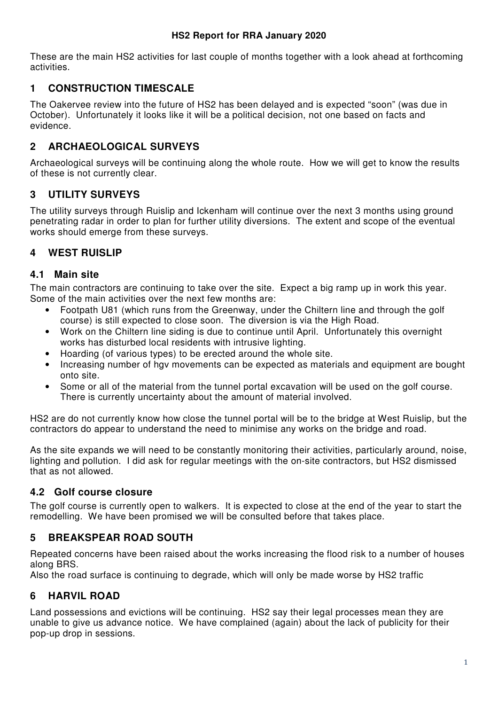These are the main HS2 activities for last couple of months together with a look ahead at forthcoming activities.

# **1 CONSTRUCTION TIMESCALE**

The Oakervee review into the future of HS2 has been delayed and is expected "soon" (was due in October). Unfortunately it looks like it will be a political decision, not one based on facts and evidence.

# **2 ARCHAEOLOGICAL SURVEYS**

Archaeological surveys will be continuing along the whole route. How we will get to know the results of these is not currently clear.

# **3 UTILITY SURVEYS**

The utility surveys through Ruislip and Ickenham will continue over the next 3 months using ground penetrating radar in order to plan for further utility diversions. The extent and scope of the eventual works should emerge from these surveys.

# **4 WEST RUISLIP**

## **4.1 Main site**

The main contractors are continuing to take over the site. Expect a big ramp up in work this year. Some of the main activities over the next few months are:

- Footpath U81 (which runs from the Greenway, under the Chiltern line and through the golf course) is still expected to close soon. The diversion is via the High Road.
- Work on the Chiltern line siding is due to continue until April. Unfortunately this overnight works has disturbed local residents with intrusive lighting.
- Hoarding (of various types) to be erected around the whole site.
- Increasing number of hgv movements can be expected as materials and equipment are bought onto site.
- Some or all of the material from the tunnel portal excavation will be used on the golf course. There is currently uncertainty about the amount of material involved.

HS2 are do not currently know how close the tunnel portal will be to the bridge at West Ruislip, but the contractors do appear to understand the need to minimise any works on the bridge and road.

As the site expands we will need to be constantly monitoring their activities, particularly around, noise, lighting and pollution. I did ask for regular meetings with the on-site contractors, but HS2 dismissed that as not allowed.

# **4.2 Golf course closure**

The golf course is currently open to walkers. It is expected to close at the end of the year to start the remodelling. We have been promised we will be consulted before that takes place.

# **5 BREAKSPEAR ROAD SOUTH**

Repeated concerns have been raised about the works increasing the flood risk to a number of houses along BRS.

Also the road surface is continuing to degrade, which will only be made worse by HS2 traffic

# **6 HARVIL ROAD**

Land possessions and evictions will be continuing. HS2 say their legal processes mean they are unable to give us advance notice. We have complained (again) about the lack of publicity for their pop-up drop in sessions.